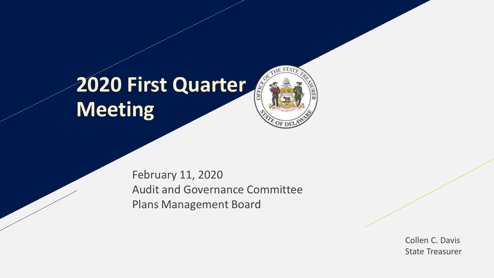# **2020 First Quarter Meeting**

February 11, 2020 Audit and Governance Committee Plans Management Board

> Collen C. Davis State Treasurer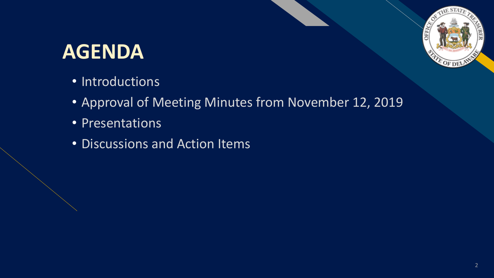#### **AGENDA**

- Introductions
- Approval of Meeting Minutes from November 12, 2019
- Presentations
- Discussions and Action Items

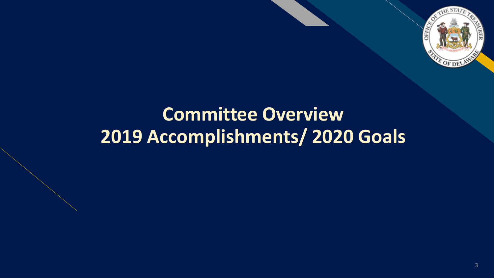

#### **Committee Overview 2019 Accomplishments/ 2020 Goals**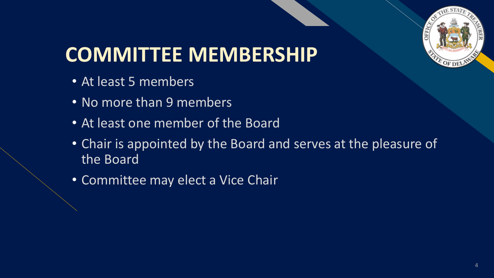

# **COMMITTEE MEMBERSHIP**

- At least 5 members
- No more than 9 members
- At least one member of the Board
- Chair is appointed by the Board and serves at the pleasure of the Board
- Committee may elect a Vice Chair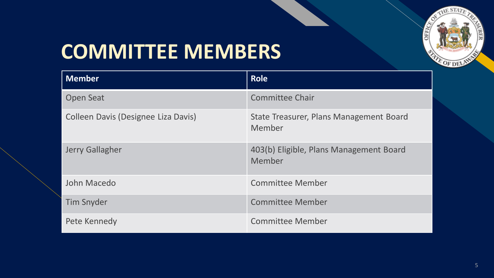

## **COMMITTEE MEMBERS**

| <b>Member</b>                       | <b>Role</b>                                       |
|-------------------------------------|---------------------------------------------------|
| <b>Open Seat</b>                    | <b>Committee Chair</b>                            |
| Colleen Davis (Designee Liza Davis) | State Treasurer, Plans Management Board<br>Member |
| <b>Jerry Gallagher</b>              | 403(b) Eligible, Plans Management Board<br>Member |
| John Macedo                         | <b>Committee Member</b>                           |
| <b>Tim Snyder</b>                   | <b>Committee Member</b>                           |
| Pete Kennedy                        | <b>Committee Member</b>                           |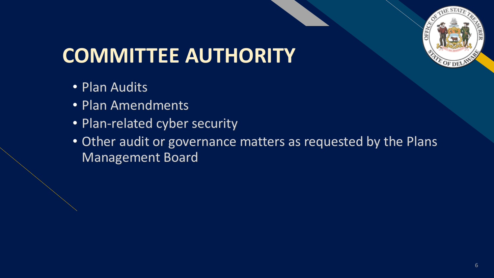

# **COMMITTEE AUTHORITY**

- Plan Audits
- Plan Amendments
- Plan-related cyber security
- Other audit or governance matters as requested by the Plans Management Board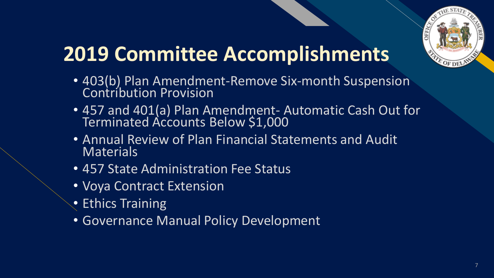

# **2019 Committee Accomplishments**

- 403(b) Plan Amendment-Remove Six-month Suspension Contribution Provision
- 457 and 401(a) Plan Amendment- Automatic Cash Out for Terminated Accounts Below \$1,000
- Annual Review of Plan Financial Statements and Audit **Materials**
- 457 State Administration Fee Status
- Voya Contract Extension
- Ethics Training
- Governance Manual Policy Development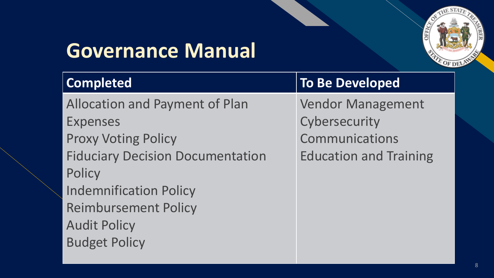

## **Governance Manual**

| Completed                               | <b>To Be Developed</b>        |
|-----------------------------------------|-------------------------------|
| <b>Allocation and Payment of Plan</b>   | <b>Vendor Management</b>      |
| <b>Expenses</b>                         | Cybersecurity                 |
| <b>Proxy Voting Policy</b>              | <b>Communications</b>         |
| <b>Fiduciary Decision Documentation</b> | <b>Education and Training</b> |
| Policy                                  |                               |
| <b>Indemnification Policy</b>           |                               |
| <b>Reimbursement Policy</b>             |                               |
| <b>Audit Policy</b>                     |                               |
| <b>Budget Policy</b>                    |                               |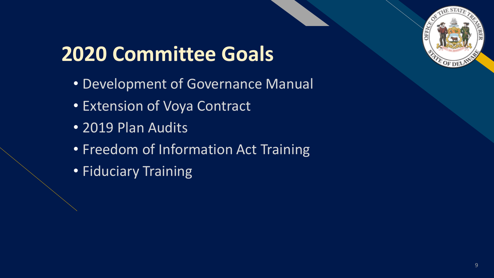

# **2020 Committee Goals**

- Development of Governance Manual
- Extension of Voya Contract
- 2019 Plan Audits
- Freedom of Information Act Training
- Fiduciary Training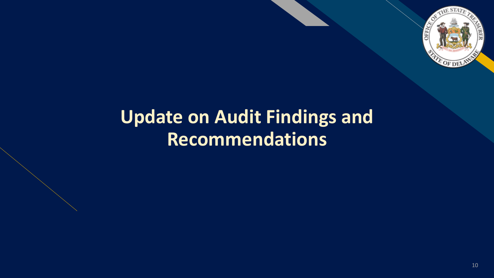

#### **Update on Audit Findings and Recommendations**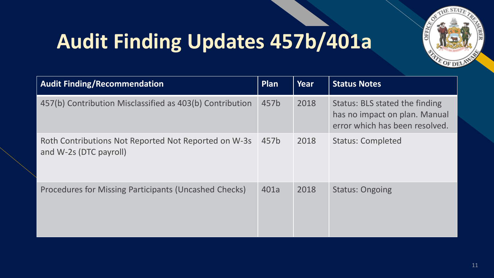

# **Audit Finding Updates 457b/401a**

| <b>Audit Finding/Recommendation</b>                                            | Plan | Year | <b>Status Notes</b>                                                                               |
|--------------------------------------------------------------------------------|------|------|---------------------------------------------------------------------------------------------------|
| 457(b) Contribution Misclassified as 403(b) Contribution                       | 457b | 2018 | Status: BLS stated the finding<br>has no impact on plan. Manual<br>error which has been resolved. |
| Roth Contributions Not Reported Not Reported on W-3s<br>and W-2s (DTC payroll) | 457b | 2018 | <b>Status: Completed</b>                                                                          |
| Procedures for Missing Participants (Uncashed Checks)                          | 401a | 2018 | <b>Status: Ongoing</b>                                                                            |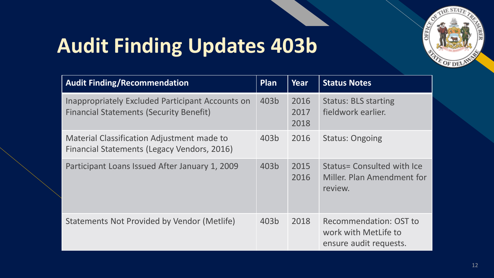

## **Audit Finding Updates 403b**

| <b>Audit Finding/Recommendation</b>                                                                | Plan | Year                 | <b>Status Notes</b>                                                             |
|----------------------------------------------------------------------------------------------------|------|----------------------|---------------------------------------------------------------------------------|
| Inappropriately Excluded Participant Accounts on<br><b>Financial Statements (Security Benefit)</b> | 403b | 2016<br>2017<br>2018 | <b>Status: BLS starting</b><br>fieldwork earlier.                               |
| Material Classification Adjustment made to<br>Financial Statements (Legacy Vendors, 2016)          | 403b | 2016                 | <b>Status: Ongoing</b>                                                          |
| Participant Loans Issued After January 1, 2009                                                     | 403b | 2015<br>2016         | Status= Consulted with Ice<br>Miller. Plan Amendment for<br>review.             |
| Statements Not Provided by Vendor (Metlife)                                                        | 403b | 2018                 | <b>Recommendation: OST to</b><br>work with MetLife to<br>ensure audit requests. |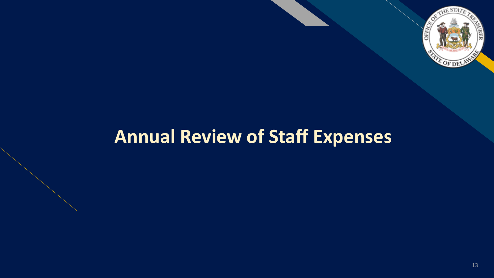

#### **Annual Review of Staff Expenses**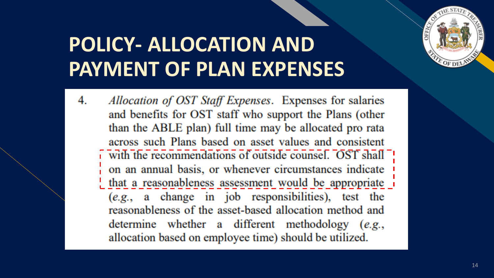

#### **POLICY- ALLOCATION AND PAYMENT OF PLAN EXPENSES**

Allocation of OST Staff Expenses. Expenses for salaries 4. and benefits for OST staff who support the Plans (other than the ABLE plan) full time may be allocated pro rata across such Plans based on asset values and consistent with the recommendations of outside counsel. OST shall on an annual basis, or whenever circumstances indicate that a reasonableness assessment would be appropriate (e.g., a change in job responsibilities), test the reasonableness of the asset-based allocation method and determine whether a different methodology (e.g., allocation based on employee time) should be utilized.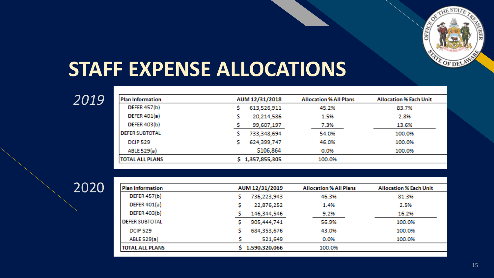

#### **STAFF EXPENSE ALLOCATIONS**

| Plan Information        | AUM 12/31/2018  | <b>Allocation % All Plans</b> | <b>Allocation % Each Unit</b> |
|-------------------------|-----------------|-------------------------------|-------------------------------|
| <b>DEFER 457(b)</b>     | 613,526,911     | 45.2%                         | 83.7%                         |
| DEFER $401(a)$          | 20,214,586      | 1.5%                          | 2.8%                          |
| <b>DEFER 403(b)</b>     | 99,607,197      | 7.3%                          | 13.6%                         |
| <b>I DEFER SUBTOTAL</b> | 733,348,694     | 54.0%                         | 100.0%                        |
| <b>DCIP 529</b>         | 624,399,747     | 46.0%                         | 100.0%                        |
| ABLE 529(a)             | \$106,864       | 0.0%                          | 100.0%                        |
| <b>TOTAL ALL PLANS</b>  | \$1,357,855,305 | 100.0%                        |                               |

| <b>Plan Information</b> | AUM 12/31/2019  | <b>Allocation % All Plans</b> | <b>Allocation % Each Unit</b> |
|-------------------------|-----------------|-------------------------------|-------------------------------|
| <b>DEFER 457(b)</b>     | 736,223,943     | 46.3%                         | 81.3%                         |
| DEFER $401(a)$          | 22,876,252      | 1.4%                          | 2.5%                          |
| <b>DEFER 403(b)</b>     | 146,344,546     | 9.2%                          | 16.2%                         |
| <b>DEFER SUBTOTAL</b>   | 905,444,741     | 56.9%                         | 100.0%                        |
| <b>DCIP 529</b>         | 684,353,676     | 43.0%                         | 100.0%                        |
| ABLE 529(a)             | 521,649         | 0.0%                          | 100.0%                        |
| <b>TOTAL ALL PLANS</b>  | \$1,590,320,066 | 100.0%                        |                               |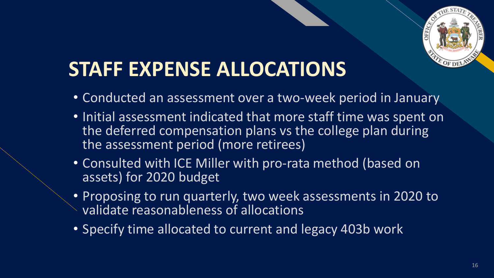

#### **STAFF EXPENSE ALLOCATIONS**

- Conducted an assessment over a two-week period in January
- Initial assessment indicated that more staff time was spent on the deferred compensation plans vs the college plan during the assessment period (more retirees)
- Consulted with ICE Miller with pro-rata method (based on assets) for 2020 budget
- Proposing to run quarterly, two week assessments in 2020 to validate reasonableness of allocations
- Specify time allocated to current and legacy 403b work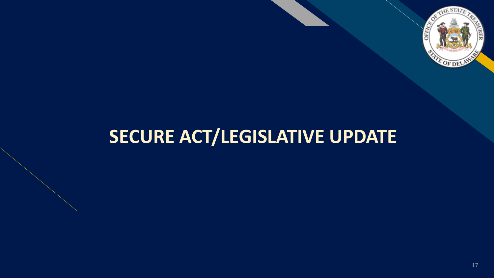

#### **SECURE ACT/LEGISLATIVE UPDATE**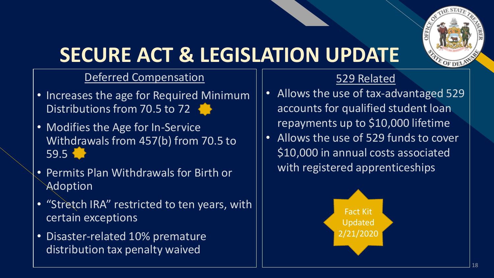

# **SECURE ACT & LEGISLATION UPDATE**

#### Deferred Compensation

- Increases the age for Required Minimum Distributions from 70.5 to 72
- Modifies the Age for In-Service Withdrawals from 457(b) from 70.5 to 59.5
- Permits Plan Withdrawals for Birth or Adoption
- "Stretch IRA" restricted to ten years, with certain exceptions
- Disaster-related 10% premature distribution tax penalty waived

#### 529 Related

- Allows the use of tax-advantaged 529 accounts for qualified student loan repayments up to \$10,000 lifetime
- Allows the use of 529 funds to cover \$10,000 in annual costs associated with registered apprenticeships

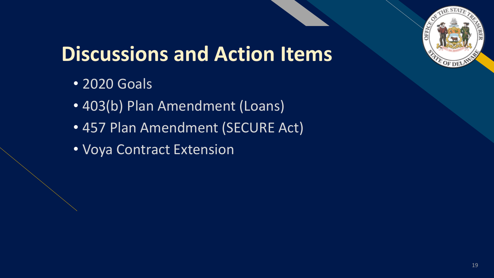

# **Discussions and Action Items**

- 2020 Goals
- 403(b) Plan Amendment (Loans)
- 457 Plan Amendment (SECURE Act)
- Voya Contract Extension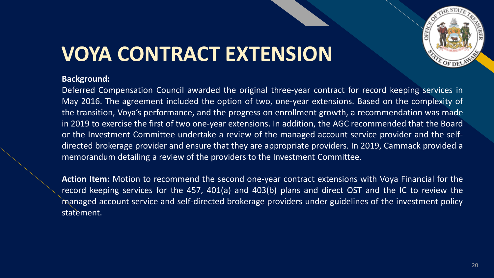

## **VOYA CONTRACT EXTENSION**

#### **Background:**

Deferred Compensation Council awarded the original three-year contract for record keeping services in May 2016. The agreement included the option of two, one-year extensions. Based on the complexity of the transition, Voya's performance, and the progress on enrollment growth, a recommendation was made in 2019 to exercise the first of two one-year extensions. In addition, the AGC recommended that the Board or the Investment Committee undertake a review of the managed account service provider and the selfdirected brokerage provider and ensure that they are appropriate providers. In 2019, Cammack provided a memorandum detailing a review of the providers to the Investment Committee.

**Action Item:** Motion to recommend the second one-year contract extensions with Voya Financial for the record keeping services for the 457, 401(a) and 403(b) plans and direct OST and the IC to review the managed account service and self-directed brokerage providers under guidelines of the investment policy statement.